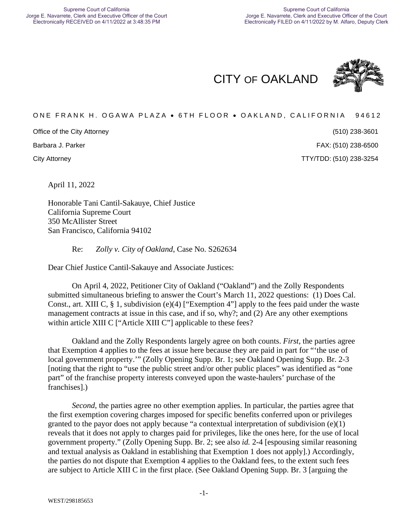CITY OF OAKLAND



### ONE FRANK H. OGAWA PLAZA . 6TH FLOOR . OAKLAND, CALIFORNIA 94612

Office of the City Attorney

Barbara J. Parker

(510) 238-3601 (510) 238-6500

City Attorney TTY/TDD: (510) 238-3254

April 11, 2022

Honorable Tani Cantil-Sakauye, Chief Justice California Supreme Court 350 McAllister Street San Francisco, California 94102

Re: *Zolly v. City of Oakland*, Case No. S262634

Dear Chief Justice Cantil-Sakauye and Associate Justices:

On April 4, 2022, Petitioner City of Oakland ("Oakland") and the Zolly Respondents submitted simultaneous briefing to answer the Court's March 11, 2022 questions: (1) Does Cal. Const., art. XIII C, § 1, subdivision (e)(4) ["Exemption 4"] apply to the fees paid under the waste management contracts at issue in this case, and if so, why?; and (2) Are any other exemptions within article XIII C ["Article XIII C"] applicable to these fees?

Oakland and the Zolly Respondents largely agree on both counts. *First*, the parties agree that Exemption 4 applies to the fees at issue here because they are paid in part for "'the use of local government property.'" (Zolly Opening Supp. Br. 1; see Oakland Opening Supp. Br. 2-3 [noting that the right to "use the public street and/or other public places" was identified as "one part" of the franchise property interests conveyed upon the waste-haulers' purchase of the franchises].)

*Second*, the parties agree no other exemption applies. In particular, the parties agree that the first exemption covering charges imposed for specific benefits conferred upon or privileges granted to the payor does not apply because "a contextual interpretation of subdivision (e)(1) reveals that it does not apply to charges paid for privileges, like the ones here, for the use of local government property." (Zolly Opening Supp. Br. 2; see also *id.* 2-4 [espousing similar reasoning and textual analysis as Oakland in establishing that Exemption 1 does not apply].) Accordingly, the parties do not dispute that Exemption 4 applies to the Oakland fees, to the extent such fees are subject to Article XIII C in the first place. (See Oakland Opening Supp. Br. 3 [arguing the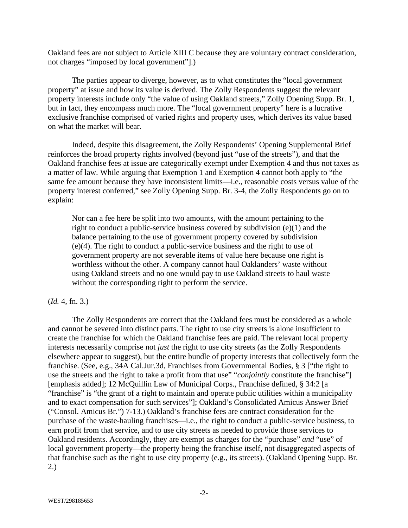Oakland fees are not subject to Article XIII C because they are voluntary contract consideration, not charges "imposed by local government"].)

The parties appear to diverge, however, as to what constitutes the "local government property" at issue and how its value is derived. The Zolly Respondents suggest the relevant property interests include only "the value of using Oakland streets," Zolly Opening Supp. Br. 1, but in fact, they encompass much more. The "local government property" here is a lucrative exclusive franchise comprised of varied rights and property uses, which derives its value based on what the market will bear.

Indeed, despite this disagreement, the Zolly Respondents' Opening Supplemental Brief reinforces the broad property rights involved (beyond just "use of the streets"), and that the Oakland franchise fees at issue are categorically exempt under Exemption 4 and thus not taxes as a matter of law. While arguing that Exemption 1 and Exemption 4 cannot both apply to "the same fee amount because they have inconsistent limits—i.e., reasonable costs versus value of the property interest conferred," see Zolly Opening Supp. Br. 3-4, the Zolly Respondents go on to explain:

Nor can a fee here be split into two amounts, with the amount pertaining to the right to conduct a public-service business covered by subdivision (e)(1) and the balance pertaining to the use of government property covered by subdivision (e)(4). The right to conduct a public-service business and the right to use of government property are not severable items of value here because one right is worthless without the other. A company cannot haul Oaklanders' waste without using Oakland streets and no one would pay to use Oakland streets to haul waste without the corresponding right to perform the service.

#### (*Id.* 4, fn. 3.)

The Zolly Respondents are correct that the Oakland fees must be considered as a whole and cannot be severed into distinct parts. The right to use city streets is alone insufficient to create the franchise for which the Oakland franchise fees are paid. The relevant local property interests necessarily comprise not *just* the right to use city streets (as the Zolly Respondents elsewhere appear to suggest), but the entire bundle of property interests that collectively form the franchise. (See, e.g., 34A Cal.Jur.3d, Franchises from Governmental Bodies, § 3 ["the right to use the streets and the right to take a profit from that use" "*conjointly* constitute the franchise"] [emphasis added]; 12 McQuillin Law of Municipal Corps., Franchise defined, § 34:2 [a "franchise" is "the grant of a right to maintain and operate public utilities within a municipality and to exact compensation for such services"]; Oakland's Consolidated Amicus Answer Brief ("Consol. Amicus Br.") 7-13.) Oakland's franchise fees are contract consideration for the purchase of the waste-hauling franchises—i.e., the right to conduct a public-service business, to earn profit from that service, and to use city streets as needed to provide those services to Oakland residents. Accordingly, they are exempt as charges for the "purchase" *and* "use" of local government property—the property being the franchise itself, not disaggregated aspects of that franchise such as the right to use city property (e.g., its streets). (Oakland Opening Supp. Br. 2.)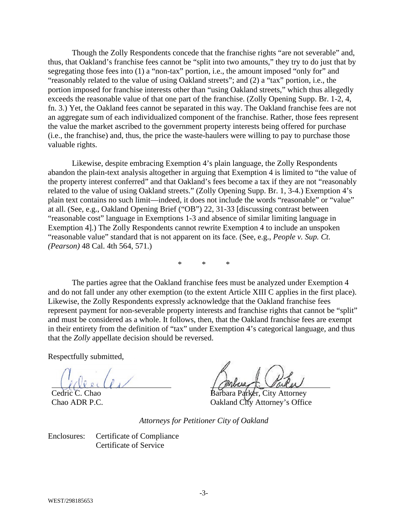Though the Zolly Respondents concede that the franchise rights "are not severable" and, thus, that Oakland's franchise fees cannot be "split into two amounts," they try to do just that by segregating those fees into (1) a "non-tax" portion, i.e., the amount imposed "only for" and "reasonably related to the value of using Oakland streets"; and (2) a "tax" portion, i.e., the portion imposed for franchise interests other than "using Oakland streets," which thus allegedly exceeds the reasonable value of that one part of the franchise. (Zolly Opening Supp. Br. 1-2, 4, fn. 3.) Yet, the Oakland fees cannot be separated in this way. The Oakland franchise fees are not an aggregate sum of each individualized component of the franchise. Rather, those fees represent the value the market ascribed to the government property interests being offered for purchase (i.e., the franchise) and, thus, the price the waste-haulers were willing to pay to purchase those valuable rights.

Likewise, despite embracing Exemption 4's plain language, the Zolly Respondents abandon the plain-text analysis altogether in arguing that Exemption 4 is limited to "the value of the property interest conferred" and that Oakland's fees become a tax if they are not "reasonably related to the value of using Oakland streets." (Zolly Opening Supp. Br. 1, 3-4.) Exemption 4's plain text contains no such limit—indeed, it does not include the words "reasonable" or "value" at all. (See, e.g., Oakland Opening Brief ("OB") 22, 31-33 [discussing contrast between "reasonable cost" language in Exemptions 1-3 and absence of similar limiting language in Exemption 4].) The Zolly Respondents cannot rewrite Exemption 4 to include an unspoken "reasonable value" standard that is not apparent on its face. (See, e.g., *People v. Sup. Ct. (Pearson)* 48 Cal. 4th 564, 571.)

\* \* \*

The parties agree that the Oakland franchise fees must be analyzed under Exemption 4 and do not fall under any other exemption (to the extent Article XIII C applies in the first place). Likewise, the Zolly Respondents expressly acknowledge that the Oakland franchise fees represent payment for non-severable property interests and franchise rights that cannot be "split" and must be considered as a whole. It follows, then, that the Oakland franchise fees are exempt in their entirety from the definition of "tax" under Exemption 4's categorical language, and thus that the *Zolly* appellate decision should be reversed.

Respectfully submitted,

Cedric C. Chao

Chao ADR P.C.

bara Parker, City Attorney Oakland City Attorney's Office

*Attorneys for Petitioner City of Oakland* 

Enclosures: Certificate of Compliance Certificate of Service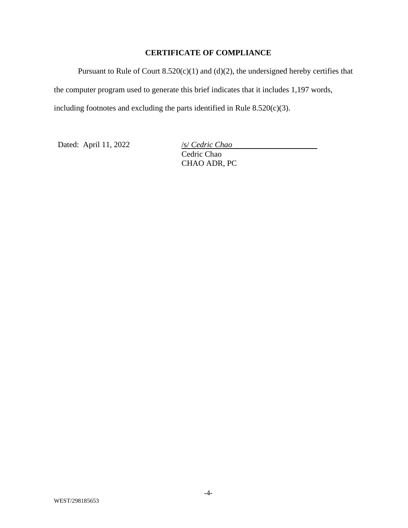### **CERTIFICATE OF COMPLIANCE**

Pursuant to Rule of Court  $8.520(c)(1)$  and  $(d)(2)$ , the undersigned hereby certifies that the computer program used to generate this brief indicates that it includes 1,197 words, including footnotes and excluding the parts identified in Rule  $8.520(c)(3)$ .

Dated: April 11, 2022 /s/ *Cedric Chao* 

Cedric Chao CHAO ADR, PC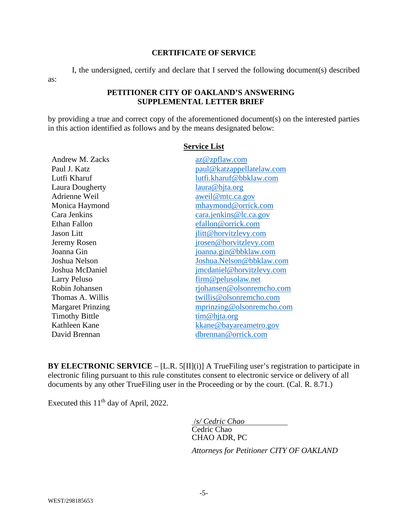#### **CERTIFICATE OF SERVICE**

I, the undersigned, certify and declare that I served the following document(s) described

### **PETITIONER CITY OF OAKLAND'S ANSWERING SUPPLEMENTAL LETTER BRIEF**

by providing a true and correct copy of the aforementioned document(s) on the interested parties in this action identified as follows and by the means designated below:

| <b>Andrew M. Zacks</b>   | az@zpflaw.com             |
|--------------------------|---------------------------|
| Paul J. Katz             | paul@katzappellatelaw.com |
| Lutfi Kharuf             | lutfi.kharuf@bbklaw.com   |
| Laura Dougherty          | laura@hjta.org            |
| Adrienne Weil            | aweil@mtc.ca.gov          |
| Monica Haymond           | mhaymond@orrick.com       |
| Cara Jenkins             | cara.jenkins@lc.ca.gov    |
| Ethan Fallon             | efallon@orrick.com        |
| Jason Litt               | jlitt@horvitzlevy.com     |
| Jeremy Rosen             | jrosen@horvitzlevy.com    |
| Joanna Gin               | joanna.gin@bbklaw.com     |
| Joshua Nelson            | Joshua.Nelson@bbklaw.com  |
| Joshua McDaniel          | jmcdaniel@horvitzlevy.com |
| Larry Peluso             | firm@pelusolaw.net        |
| Robin Johansen           | rjohansen@olsonremcho.com |
| Thomas A. Willis         | twillis@olsonremcho.com   |
| <b>Margaret Prinzing</b> | mprinzing@olsonremcho.com |
| <b>Timothy Bittle</b>    | tim@hjta.org              |
| Kathleen Kane            | kkane@bayareametro.gov    |
| David Brennan            | dbrennan@orrick.com       |
|                          |                           |

**Service List** 

**BY ELECTRONIC SERVICE** – [L.R. 5[II](i)] A TrueFiling user's registration to participate in electronic filing pursuant to this rule constitutes consent to electronic service or delivery of all documents by any other TrueFiling user in the Proceeding or by the court. (Cal. R. 8.71.)

Executed this  $11<sup>th</sup>$  day of April, 2022.

 /*s/ Cedric Chao*  Cedric Chao

CHAO ADR, PC

*Attorneys for Petitioner CITY OF OAKLAND*

as: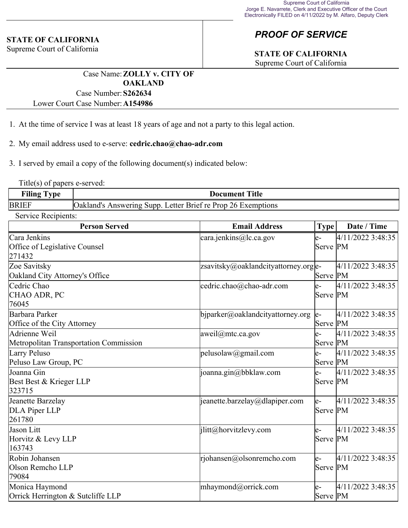### **STATE OF CALIFORNIA**

Supreme Court of California

# *PROOF OF SERVICE*

# **STATE OF CALIFORNIA**

Supreme Court of California

Case Name:**ZOLLY v. CITY OF OAKLAND** Case Number:**S262634**

Lower Court Case Number:**A154986**

- 1. At the time of service I was at least 18 years of age and not a party to this legal action.
- 2. My email address used to e-serve: **cedric.chao@chao-adr.com**

3. I served by email a copy of the following document(s) indicated below:

Title(s) of papers e-served:

| <b>TIOTO</b> | <b>Title</b>                                                                   |  |  |
|--------------|--------------------------------------------------------------------------------|--|--|
| Alling       | Document                                                                       |  |  |
| <b>BRIEF</b> | Letter Brief re Prop<br>26.<br>sunn.<br>Jaklang<br>otions<br>nswering<br>Exemr |  |  |

Service Recipients:

| <b>Person Served</b>                                    | <b>Email Address</b>                    | <b>Type</b>       | Date / Time       |
|---------------------------------------------------------|-----------------------------------------|-------------------|-------------------|
| Cara Jenkins<br>Office of Legislative Counsel<br>271432 | cara.jenkins@lc.ca.gov                  | e-<br>Serve PM    | 4/11/2022 3:48:35 |
| Zoe Savitsky<br>Oakland City Attorney's Office          | $z$ savitsky@oaklandcityattorney.org e- | Serve PM          | 4/11/2022 3:48:35 |
| Cedric Chao<br>CHAO ADR, PC<br>76045                    | cedric.chao@chao-adr.com                | $e-$<br>Serve PM  | 4/11/2022 3:48:35 |
| Barbara Parker<br>Office of the City Attorney           | $b$ jparker@oaklandcityattorney.org     | $ e-$<br>Serve PM | 4/11/2022 3:48:35 |
| Adrienne Weil<br>Metropolitan Transportation Commission | [aweil@mtc.ca.gov]                      | le-<br>Serve PM   | 4/11/2022 3:48:35 |
| Larry Peluso<br>Peluso Law Group, PC                    | pelusolaw@gmail.com                     | $e-$<br>Serve PM  | 4/11/2022 3:48:35 |
| Joanna Gin<br>Best Best & Krieger LLP<br>323715         | joanna.gin@bbklaw.com                   | $e-$<br>Serve PM  | 4/11/2022 3:48:35 |
| Jeanette Barzelay<br>DLA Piper LLP<br>261780            | $ $ jeanette.barzelay@dlapiper.com      | le-<br>Serve PM   | 4/11/2022 3:48:35 |
| Jason Litt<br>Horvitz & Levy LLP<br>163743              | ilitt@horvitzlevy.com                   | e-<br>Serve PM    | 4/11/2022 3:48:35 |
| Robin Johansen<br>Olson Remcho LLP<br>79084             | rjohansen@olsonremcho.com               | le-<br>Serve PM   | 4/11/2022 3:48:35 |
| Monica Haymond<br>Orrick Herrington & Sutcliffe LLP     | mhaymond@orrick.com                     | le-<br>Serve PM   | 4/11/2022 3:48:35 |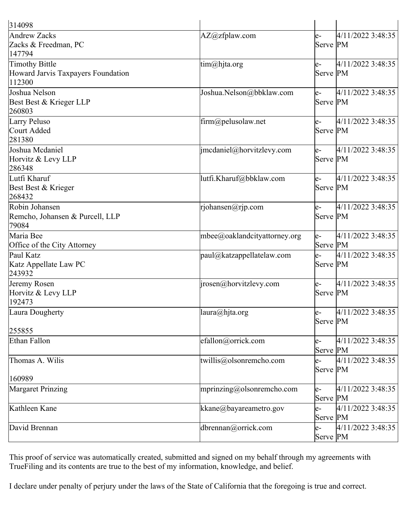| 314098                                                         |                                                  |                  |                   |
|----------------------------------------------------------------|--------------------------------------------------|------------------|-------------------|
| <b>Andrew Zacks</b><br>Zacks & Freedman, PC<br>147794          | AZ@zfplaw.com                                    | $e-$<br>Serve PM | 4/11/2022 3:48:35 |
| Timothy Bittle<br>Howard Jarvis Taxpayers Foundation<br>112300 | tim@hjta.org                                     | le-<br>Serve PM  | 4/11/2022 3:48:35 |
| Joshua Nelson<br>Best Best & Krieger LLP<br>260803             | Joshua.Nelson@bbklaw.com                         | le-<br>Serve PM  | 4/11/2022 3:48:35 |
| Larry Peluso<br>Court Added<br>281380                          | $\lim_{\text{m}}\text{Q}$ pelusolaw.net          | e-<br>Serve PM   | 4/11/2022 3:48:35 |
| Joshua Mcdaniel<br>Horvitz & Levy LLP<br>286348                | jmcdaniel@horvitzlevy.com                        | le-<br>Serve PM  | 4/11/2022 3:48:35 |
| Lutfi Kharuf<br>Best Best & Krieger<br>268432                  | lutfi.Kharuf@bbklaw.com                          | le-<br>Serve PM  | 4/11/2022 3:48:35 |
| Robin Johansen<br>Remcho, Johansen & Purcell, LLP<br>79084     | rjohansen@rjp.com                                | le-<br>Serve PM  | 4/11/2022 3:48:35 |
| Maria Bee<br>Office of the City Attorney                       | mbee@oaklandcityattorney.org                     | le-<br>Serve PM  | 4/11/2022 3:48:35 |
| Paul Katz<br>Katz Appellate Law PC<br>243932                   | paul@katzappellatelaw.com                        | le-<br>Serve PM  | 4/11/2022 3:48:35 |
| Jeremy Rosen<br>Horvitz & Levy LLP<br>192473                   | jrosen@horvitzlevy.com                           | le-<br>Serve PM  | 4/11/2022 3:48:35 |
| Laura Dougherty<br>255855                                      | laura@hjta.org                                   | e-<br>Serve PM   | 4/11/2022 3:48:35 |
| Ethan Fallon                                                   | efallon@orrick.com                               | le-<br>Serve PM  | 4/11/2022 3:48:35 |
| Thomas A. Wilis                                                | twillis@olsonremcho.com                          | le-<br>Serve PM  | 4/11/2022 3:48:35 |
| 160989                                                         |                                                  |                  |                   |
| Margaret Prinzing                                              | mprinzing@olsonremcho.com                        | le-<br>Serve PM  | 4/11/2022 3:48:35 |
| Kathleen Kane                                                  | $\mathsf{k}$ kane $\mathcal{Q}$ bayareametro.gov | le-<br>Serve PM  | 4/11/2022 3:48:35 |
| David Brennan                                                  | dbrennan@orrick.com                              | $e-$<br>Serve PM | 4/11/2022 3:48:35 |

This proof of service was automatically created, submitted and signed on my behalf through my agreements with TrueFiling and its contents are true to the best of my information, knowledge, and belief.

I declare under penalty of perjury under the laws of the State of California that the foregoing is true and correct.